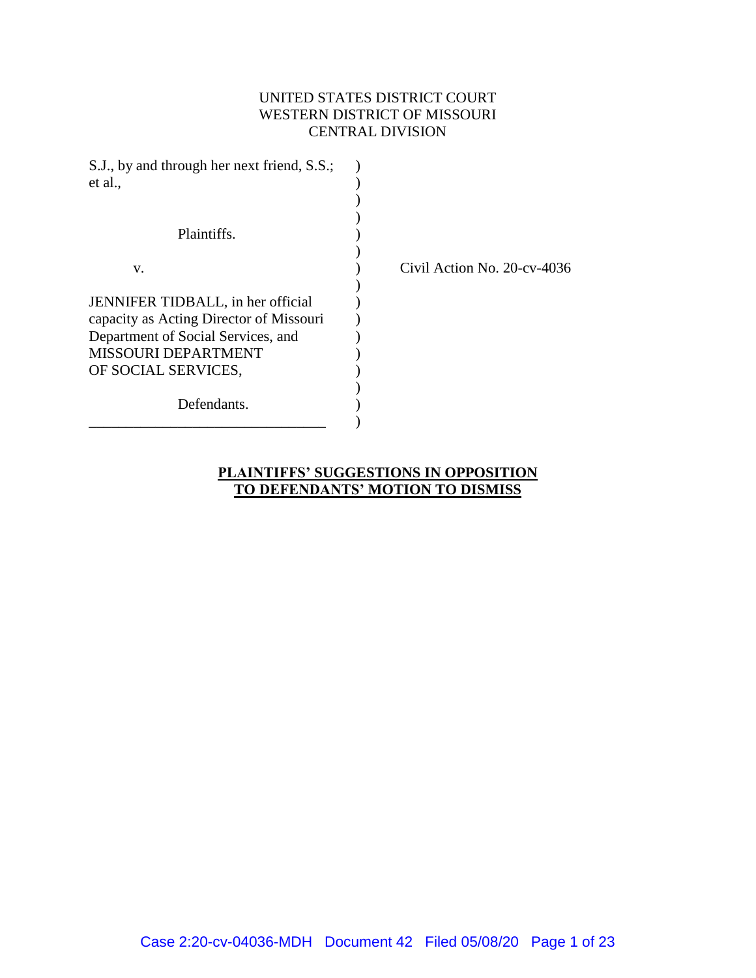## UNITED STATES DISTRICT COURT WESTERN DISTRICT OF MISSOURI CENTRAL DIVISION

| S.J., by and through her next friend, S.S.;<br>et al., |                                |
|--------------------------------------------------------|--------------------------------|
|                                                        |                                |
| Plaintiffs.                                            |                                |
|                                                        |                                |
| V.                                                     | Civil Action No. $20$ -cv-4036 |
|                                                        |                                |
| JENNIFER TIDBALL, in her official                      |                                |
| capacity as Acting Director of Missouri                |                                |
| Department of Social Services, and                     |                                |
| MISSOURI DEPARTMENT                                    |                                |
| OF SOCIAL SERVICES,                                    |                                |
|                                                        |                                |
| Defendants.                                            |                                |
|                                                        |                                |

**PLAINTIFFS' SUGGESTIONS IN OPPOSITION TO DEFENDANTS' MOTION TO DISMISS**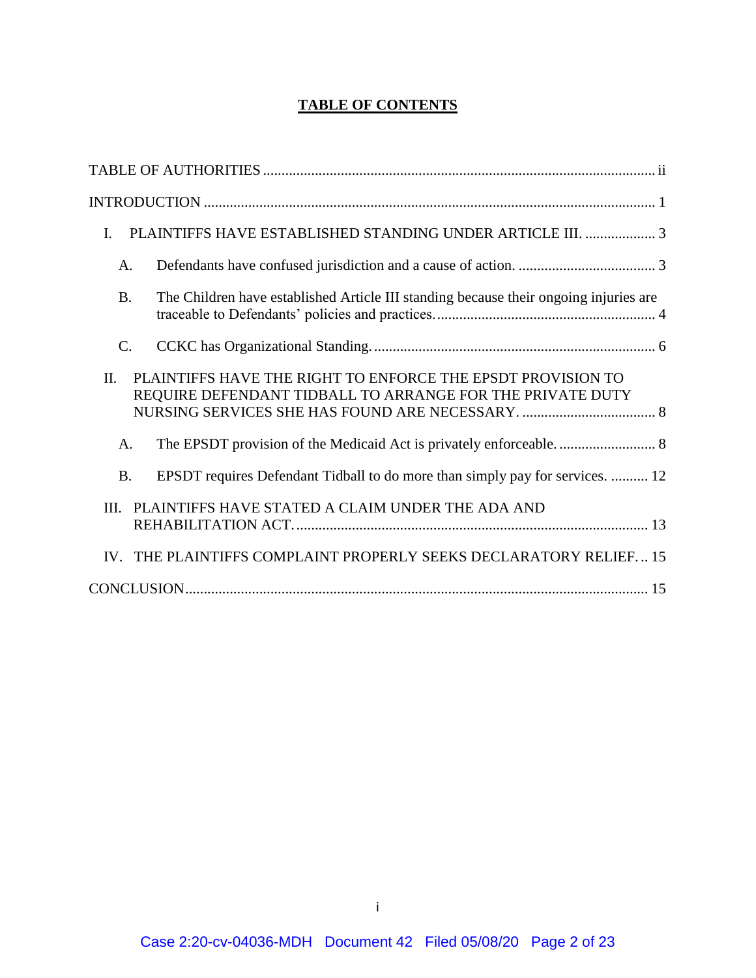# **TABLE OF CONTENTS**

| PLAINTIFFS HAVE ESTABLISHED STANDING UNDER ARTICLE III.  3<br>I.                                                                |
|---------------------------------------------------------------------------------------------------------------------------------|
| A.                                                                                                                              |
| The Children have established Article III standing because their ongoing injuries are<br><b>B.</b>                              |
| $\mathcal{C}$ .                                                                                                                 |
| PLAINTIFFS HAVE THE RIGHT TO ENFORCE THE EPSDT PROVISION TO<br>II.<br>REQUIRE DEFENDANT TIDBALL TO ARRANGE FOR THE PRIVATE DUTY |
| A.                                                                                                                              |
| EPSDT requires Defendant Tidball to do more than simply pay for services.  12<br><b>B.</b>                                      |
| III. PLAINTIFFS HAVE STATED A CLAIM UNDER THE ADA AND                                                                           |
| IV. THE PLAINTIFFS COMPLAINT PROPERLY SEEKS DECLARATORY RELIEF 15                                                               |
|                                                                                                                                 |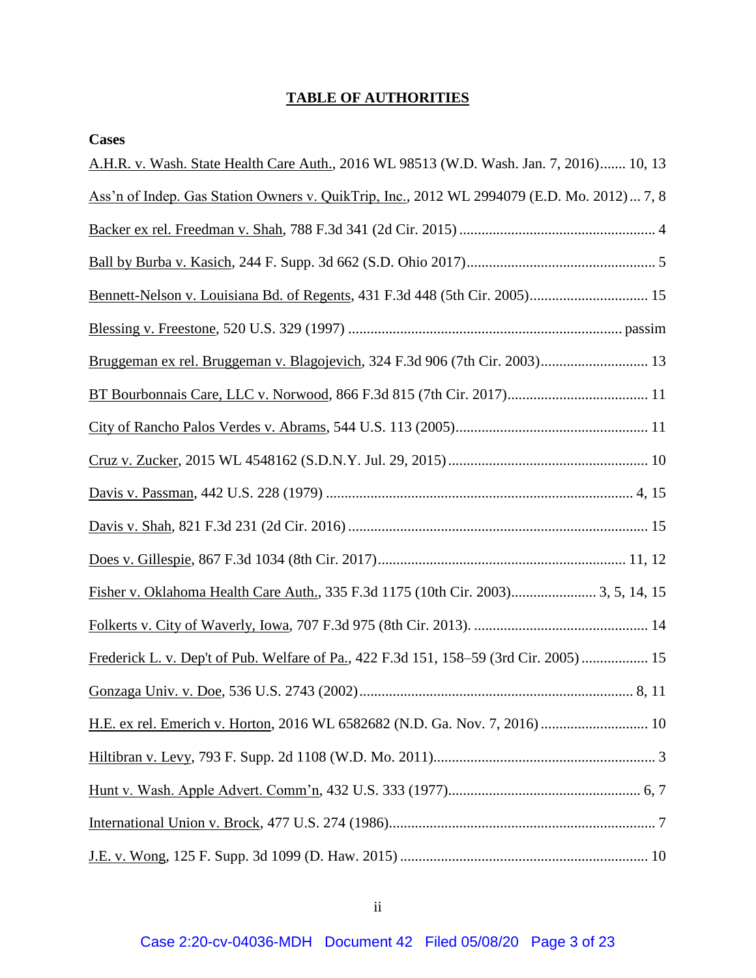## **TABLE OF AUTHORITIES**

<span id="page-2-0"></span>

| <b>Cases</b>                                                                                |
|---------------------------------------------------------------------------------------------|
| A.H.R. v. Wash. State Health Care Auth., 2016 WL 98513 (W.D. Wash. Jan. 7, 2016) 10, 13     |
| Ass'n of Indep. Gas Station Owners v. QuikTrip, Inc., 2012 WL 2994079 (E.D. Mo. 2012)  7, 8 |
|                                                                                             |
|                                                                                             |
|                                                                                             |
|                                                                                             |
| Bruggeman ex rel. Bruggeman v. Blagojevich, 324 F.3d 906 (7th Cir. 2003) 13                 |
|                                                                                             |
|                                                                                             |
|                                                                                             |
|                                                                                             |
|                                                                                             |
|                                                                                             |
|                                                                                             |
|                                                                                             |
| Frederick L. v. Dep't of Pub. Welfare of Pa., 422 F.3d 151, 158–59 (3rd Cir. 2005) 15       |
|                                                                                             |
|                                                                                             |
|                                                                                             |
|                                                                                             |
|                                                                                             |
|                                                                                             |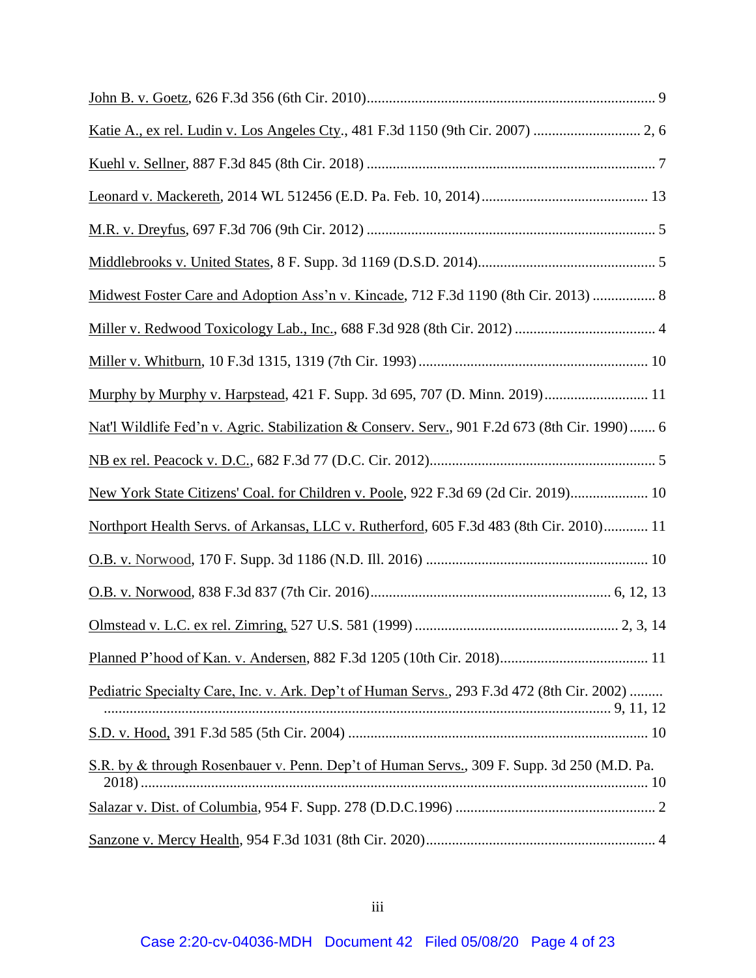| Midwest Foster Care and Adoption Ass'n v. Kincade, 712 F.3d 1190 (8th Cir. 2013)  8           |
|-----------------------------------------------------------------------------------------------|
|                                                                                               |
|                                                                                               |
| Murphy by Murphy v. Harpstead, 421 F. Supp. 3d 695, 707 (D. Minn. 2019) 11                    |
| Nat'l Wildlife Fed'n v. Agric. Stabilization & Conserv. Serv., 901 F.2d 673 (8th Cir. 1990) 6 |
|                                                                                               |
| New York State Citizens' Coal. for Children v. Poole, 922 F.3d 69 (2d Cir. 2019) 10           |
| Northport Health Servs. of Arkansas, LLC v. Rutherford, 605 F.3d 483 (8th Cir. 2010) 11       |
|                                                                                               |
|                                                                                               |
|                                                                                               |
|                                                                                               |
| Pediatric Specialty Care, Inc. v. Ark. Dep't of Human Servs., 293 F.3d 472 (8th Cir. 2002)    |
|                                                                                               |
| S.R. by & through Rosenbauer v. Penn. Dep't of Human Servs., 309 F. Supp. 3d 250 (M.D. Pa.    |
|                                                                                               |
|                                                                                               |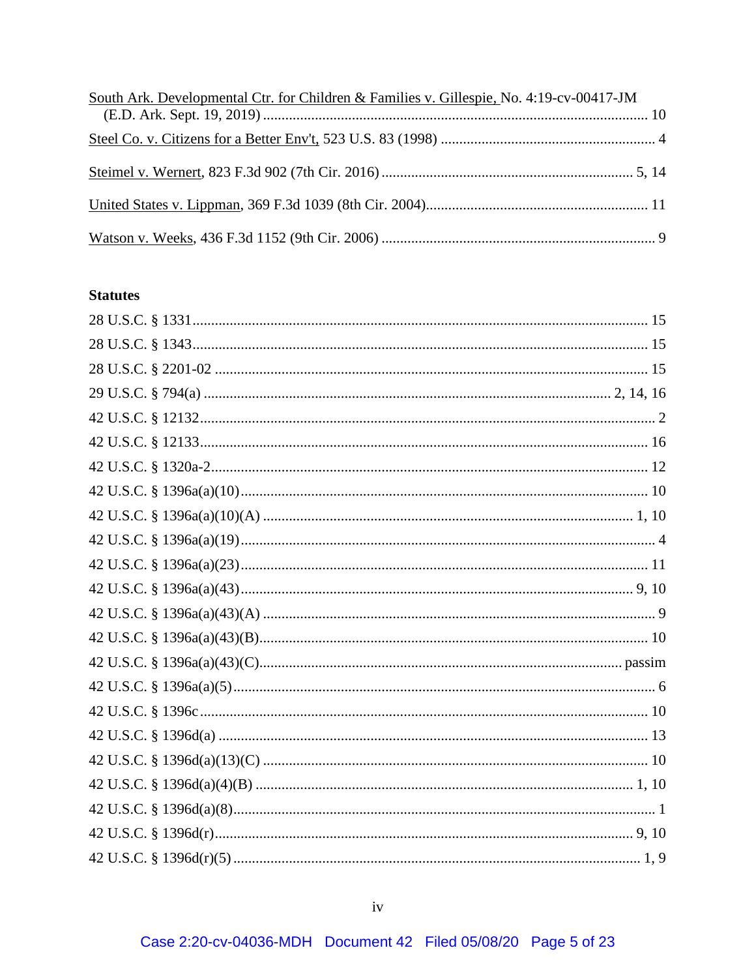| South Ark. Developmental Ctr. for Children & Families v. Gillespie, No. 4:19-cv-00417-JM |  |
|------------------------------------------------------------------------------------------|--|
|                                                                                          |  |
|                                                                                          |  |
|                                                                                          |  |
|                                                                                          |  |
|                                                                                          |  |

## **Statutes**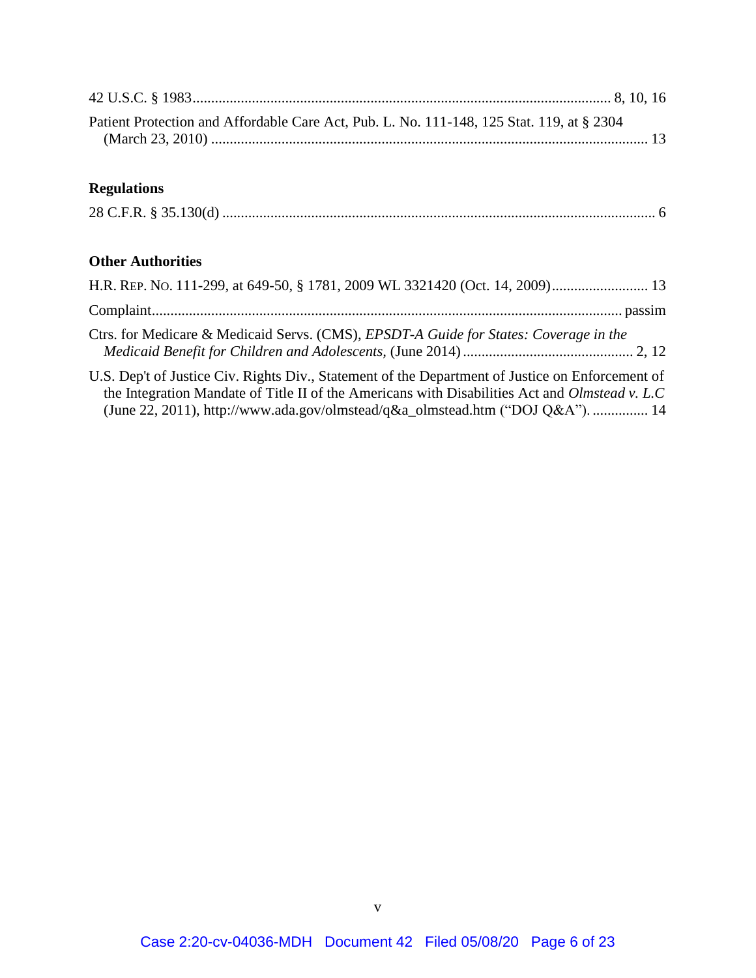| Patient Protection and Affordable Care Act, Pub. L. No. 111-148, 125 Stat. 119, at § 2304 |  |
|-------------------------------------------------------------------------------------------|--|
| <b>Regulations</b>                                                                        |  |
|                                                                                           |  |
| <b>Other Authorities</b>                                                                  |  |
|                                                                                           |  |
|                                                                                           |  |

| Ctrs. for Medicare & Medicaid Servs. (CMS), EPSDT-A Guide for States: Coverage in the |  |
|---------------------------------------------------------------------------------------|--|
|                                                                                       |  |

U.S. Dep't of Justice Civ. Rights Div., Statement of the Department of Justice on Enforcement of the Integration Mandate of Title II of the Americans with Disabilities Act and *Olmstead v. L.C* (June 22, 2011), http://www.ada.gov/olmstead/q&a\_olmstead.htm ("DOJ Q&A"). ............... 14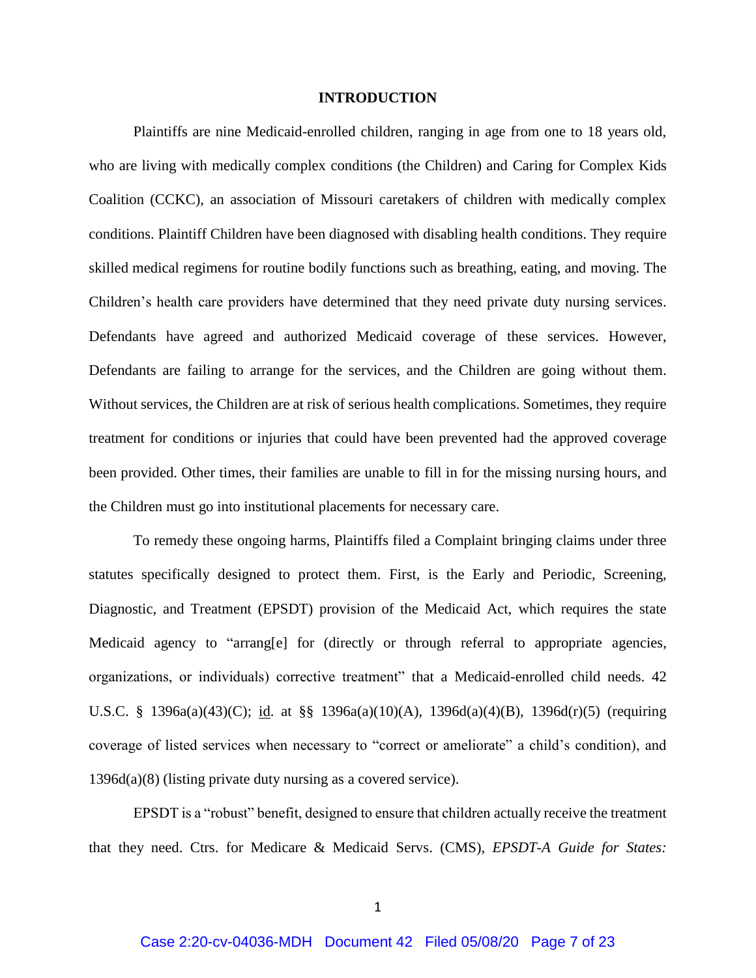#### <span id="page-6-0"></span>**INTRODUCTION**

Plaintiffs are nine Medicaid-enrolled children, ranging in age from one to 18 years old, who are living with medically complex conditions (the Children) and Caring for Complex Kids Coalition (CCKC), an association of Missouri caretakers of children with medically complex conditions. Plaintiff Children have been diagnosed with disabling health conditions. They require skilled medical regimens for routine bodily functions such as breathing, eating, and moving. The Children's health care providers have determined that they need private duty nursing services. Defendants have agreed and authorized Medicaid coverage of these services. However, Defendants are failing to arrange for the services, and the Children are going without them. Without services, the Children are at risk of serious health complications. Sometimes, they require treatment for conditions or injuries that could have been prevented had the approved coverage been provided. Other times, their families are unable to fill in for the missing nursing hours, and the Children must go into institutional placements for necessary care.

To remedy these ongoing harms, Plaintiffs filed a Complaint bringing claims under three statutes specifically designed to protect them. First, is the Early and Periodic, Screening, Diagnostic, and Treatment (EPSDT) provision of the Medicaid Act, which requires the state Medicaid agency to "arrang[e] for (directly or through referral to appropriate agencies, organizations, or individuals) corrective treatment" that a Medicaid-enrolled child needs. 42 U.S.C. § 1396a(a)(43)(C); id. at §§ 1396a(a)(10)(A), 1396d(a)(4)(B), 1396d(r)(5) (requiring coverage of listed services when necessary to "correct or ameliorate" a child's condition), and 1396d(a)(8) (listing private duty nursing as a covered service).

EPSDT is a "robust" benefit, designed to ensure that children actually receive the treatment that they need. Ctrs. for Medicare & Medicaid Servs. (CMS), *EPSDT-A Guide for States:*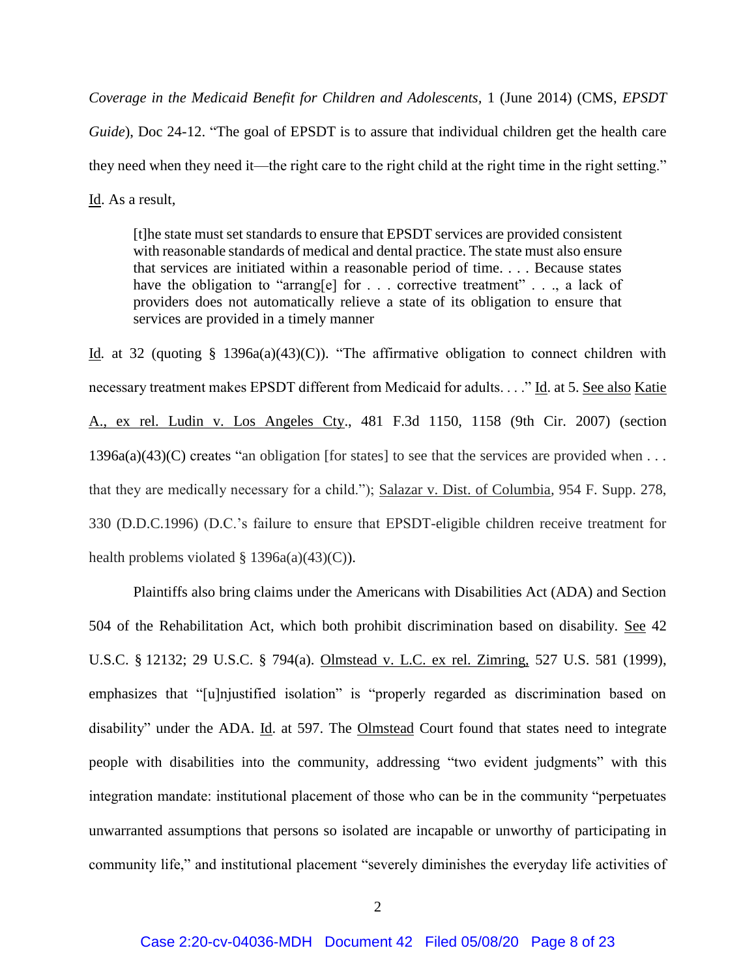*Coverage in the Medicaid Benefit for Children and Adolescents,* 1 (June 2014) (CMS, *EPSDT Guide*), Doc 24-12. "The goal of EPSDT is to assure that individual children get the health care they need when they need it—the right care to the right child at the right time in the right setting." Id. As a result,

[t]he state must set standards to ensure that EPSDT services are provided consistent with reasonable standards of medical and dental practice. The state must also ensure that services are initiated within a reasonable period of time. . . . Because states have the obligation to "arrang[e] for . . . corrective treatment" . . ., a lack of providers does not automatically relieve a state of its obligation to ensure that services are provided in a timely manner

Id. at 32 (quoting § 1396a(a)(43)(C)). "The affirmative obligation to connect children with necessary treatment makes EPSDT different from Medicaid for adults. . . ." Id. at 5. See also Katie A., ex rel. Ludin v. Los Angeles Cty., 481 F.3d 1150, 1158 (9th Cir. 2007) (section  $1396a(a)(43)(C)$  creates "an obligation [for states] to see that the services are provided when ... that they are medically necessary for a child."); Salazar v. Dist. of Columbia*,* 954 F. Supp. 278, 330 (D.D.C.1996) (D.C.'s failure to ensure that EPSDT-eligible children receive treatment for health problems violated  $\S$  1396a(a)(43)(C)).

Plaintiffs also bring claims under the Americans with Disabilities Act (ADA) and Section 504 of the Rehabilitation Act, which both prohibit discrimination based on disability. See 42 U.S.C. § 12132; 29 U.S.C. § 794(a). Olmstead v. L.C. ex rel. Zimring, 527 U.S. 581 (1999), emphasizes that "[u]njustified isolation" is "properly regarded as discrimination based on disability" under the ADA. Id. at 597. The Olmstead Court found that states need to integrate people with disabilities into the community, addressing "two evident judgments" with this integration mandate: institutional placement of those who can be in the community "perpetuates unwarranted assumptions that persons so isolated are incapable or unworthy of participating in community life," and institutional placement "severely diminishes the everyday life activities of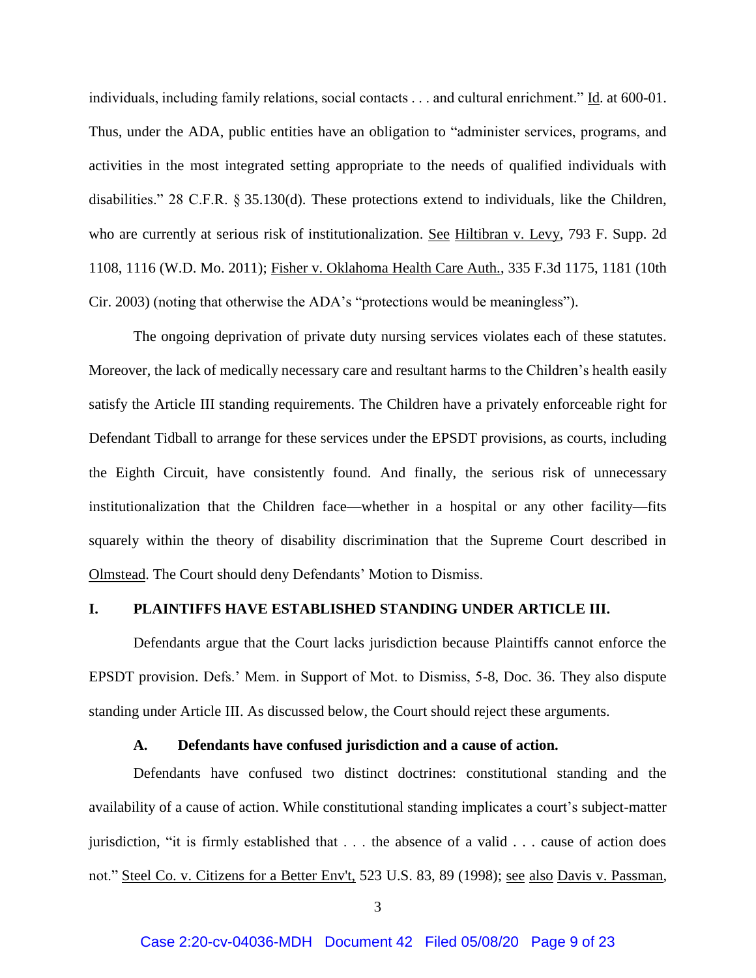individuals, including family relations, social contacts . . . and cultural enrichment." Id. at 600-01. Thus, under the ADA, public entities have an obligation to "administer services, programs, and activities in the most integrated setting appropriate to the needs of qualified individuals with disabilities." 28 C.F.R. § 35.130(d). These protections extend to individuals, like the Children, who are currently at serious risk of institutionalization. See Hiltibran v. Levy, 793 F. Supp. 2d 1108, 1116 (W.D. Mo. 2011); Fisher v. Oklahoma Health Care Auth., 335 F.3d 1175, 1181 (10th Cir. 2003) (noting that otherwise the ADA's "protections would be meaningless").

The ongoing deprivation of private duty nursing services violates each of these statutes. Moreover, the lack of medically necessary care and resultant harms to the Children's health easily satisfy the Article III standing requirements. The Children have a privately enforceable right for Defendant Tidball to arrange for these services under the EPSDT provisions, as courts, including the Eighth Circuit, have consistently found. And finally, the serious risk of unnecessary institutionalization that the Children face—whether in a hospital or any other facility—fits squarely within the theory of disability discrimination that the Supreme Court described in Olmstead. The Court should deny Defendants' Motion to Dismiss.

#### <span id="page-8-0"></span>**I. PLAINTIFFS HAVE ESTABLISHED STANDING UNDER ARTICLE III.**

Defendants argue that the Court lacks jurisdiction because Plaintiffs cannot enforce the EPSDT provision. Defs.' Mem. in Support of Mot. to Dismiss, 5-8, Doc. 36. They also dispute standing under Article III. As discussed below, the Court should reject these arguments.

#### **A. Defendants have confused jurisdiction and a cause of action.**

<span id="page-8-1"></span>Defendants have confused two distinct doctrines: constitutional standing and the availability of a cause of action. While constitutional standing implicates a court's subject-matter jurisdiction, "it is firmly established that . . . the absence of a valid . . . cause of action does not." Steel Co. v. Citizens for a Better Env't, 523 U.S. 83, 89 (1998); see also Davis v. Passman,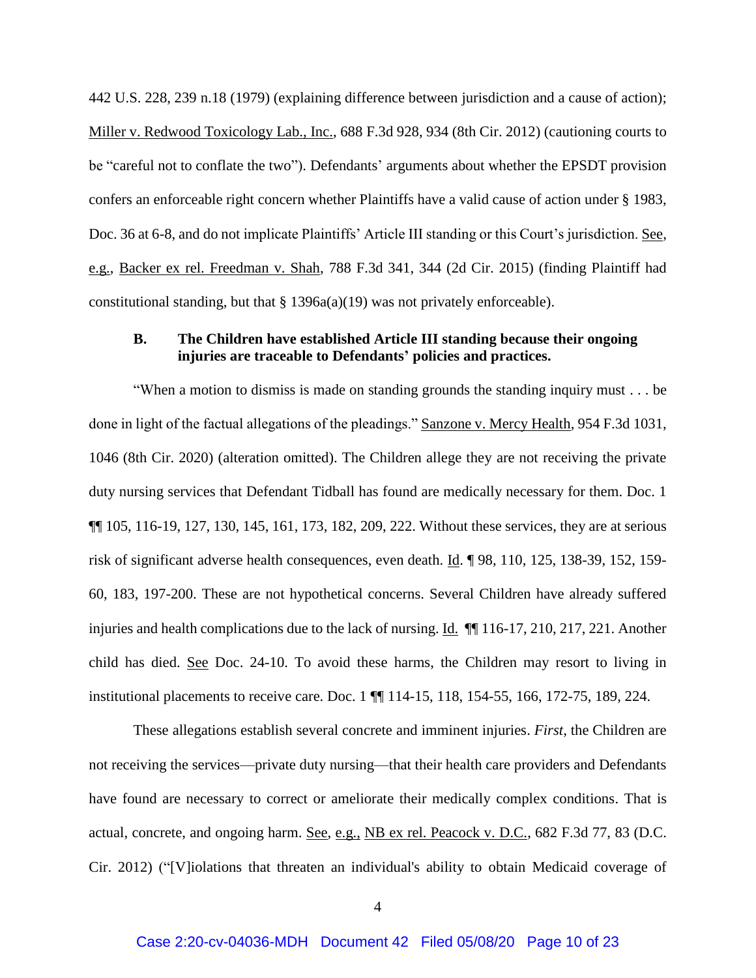442 U.S. 228, 239 n.18 (1979) (explaining difference between jurisdiction and a cause of action); Miller v. Redwood Toxicology Lab., Inc., 688 F.3d 928, 934 (8th Cir. 2012) (cautioning courts to be "careful not to conflate the two"). Defendants' arguments about whether the EPSDT provision confers an enforceable right concern whether Plaintiffs have a valid cause of action under § 1983, Doc. 36 at 6-8, and do not implicate Plaintiffs' Article III standing or this Court's jurisdiction. See, e.g., Backer ex rel. Freedman v. Shah, 788 F.3d 341, 344 (2d Cir. 2015) (finding Plaintiff had constitutional standing, but that  $\S 1396a(a)(19)$  was not privately enforceable).

### <span id="page-9-0"></span>**B. The Children have established Article III standing because their ongoing injuries are traceable to Defendants' policies and practices.**

"When a motion to dismiss is made on standing grounds the standing inquiry must . . . be done in light of the factual allegations of the pleadings." Sanzone v. Mercy Health, 954 F.3d 1031, 1046 (8th Cir. 2020) (alteration omitted). The Children allege they are not receiving the private duty nursing services that Defendant Tidball has found are medically necessary for them. Doc. 1 ¶¶ 105, 116-19, 127, 130, 145, 161, 173, 182, 209, 222. Without these services, they are at serious risk of significant adverse health consequences, even death. Id. ¶ 98, 110, 125, 138-39, 152, 159-60, 183, 197-200. These are not hypothetical concerns. Several Children have already suffered injuries and health complications due to the lack of nursing. Id. ¶¶ 116-17, 210, 217, 221. Another child has died. See Doc. 24-10. To avoid these harms, the Children may resort to living in institutional placements to receive care. Doc. 1 ¶¶ 114-15, 118, 154-55, 166, 172-75, 189, 224.

These allegations establish several concrete and imminent injuries. *First*, the Children are not receiving the services—private duty nursing—that their health care providers and Defendants have found are necessary to correct or ameliorate their medically complex conditions. That is actual, concrete, and ongoing harm. See, e.g., NB ex rel. Peacock v. D.C., 682 F.3d 77, 83 (D.C. Cir. 2012) ("[V]iolations that threaten an individual's ability to obtain Medicaid coverage of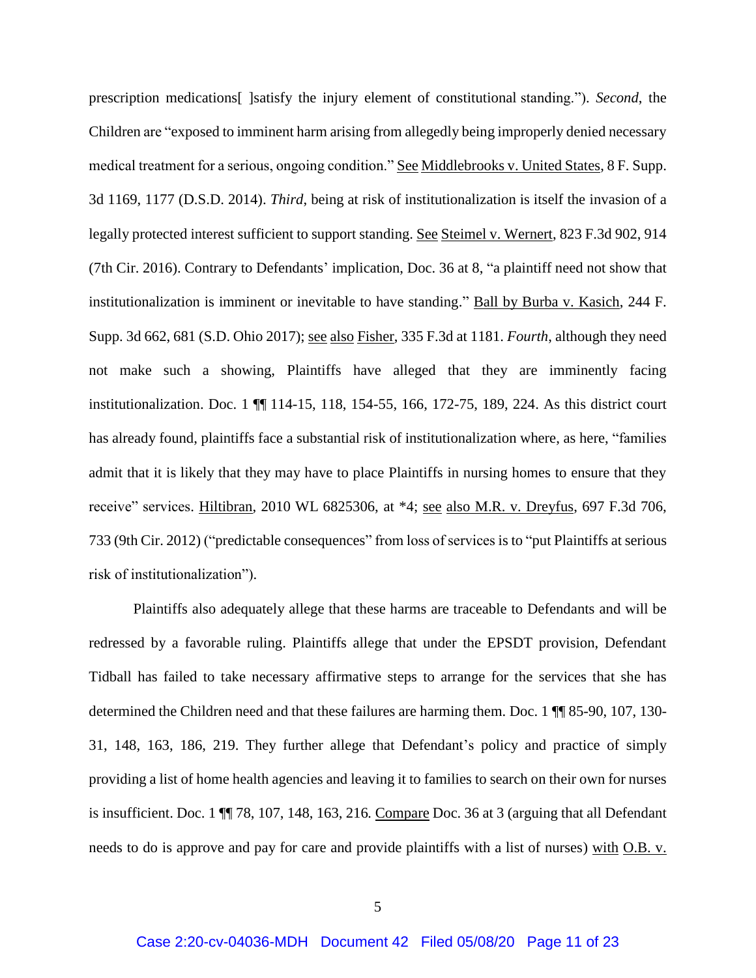prescription medications[ ]satisfy the injury element of constitutional standing."). *Second*, the Children are "exposed to imminent harm arising from allegedly being improperly denied necessary medical treatment for a serious, ongoing condition." See Middlebrooks v. United States, 8 F. Supp. 3d 1169, 1177 (D.S.D. 2014). *Third*, being at risk of institutionalization is itself the invasion of a legally protected interest sufficient to support standing. See Steimel v. Wernert, 823 F.3d 902, 914 (7th Cir. 2016). Contrary to Defendants' implication, Doc. 36 at 8, "a plaintiff need not show that institutionalization is imminent or inevitable to have standing." Ball by Burba v. Kasich, 244 F. Supp. 3d 662, 681 (S.D. Ohio 2017); see also Fisher, 335 F.3d at 1181. *Fourth*, although they need not make such a showing, Plaintiffs have alleged that they are imminently facing institutionalization. Doc. 1 ¶¶ 114-15, 118, 154-55, 166, 172-75, 189, 224. As this district court has already found, plaintiffs face a substantial risk of institutionalization where, as here, "families admit that it is likely that they may have to place Plaintiffs in nursing homes to ensure that they receive" services. Hiltibran, 2010 WL 6825306, at \*4; see also M.R. v. Dreyfus, 697 F.3d 706, 733 (9th Cir. 2012) ("predictable consequences" from loss of services is to "put Plaintiffs at serious risk of institutionalization").

Plaintiffs also adequately allege that these harms are traceable to Defendants and will be redressed by a favorable ruling. Plaintiffs allege that under the EPSDT provision, Defendant Tidball has failed to take necessary affirmative steps to arrange for the services that she has determined the Children need and that these failures are harming them. Doc. 1 ¶¶ 85-90, 107, 130- 31, 148, 163, 186, 219. They further allege that Defendant's policy and practice of simply providing a list of home health agencies and leaving it to families to search on their own for nurses is insufficient. Doc. 1 ¶¶ 78, 107, 148, 163, 216*.* Compare Doc. 36 at 3 (arguing that all Defendant needs to do is approve and pay for care and provide plaintiffs with a list of nurses) with O.B. v.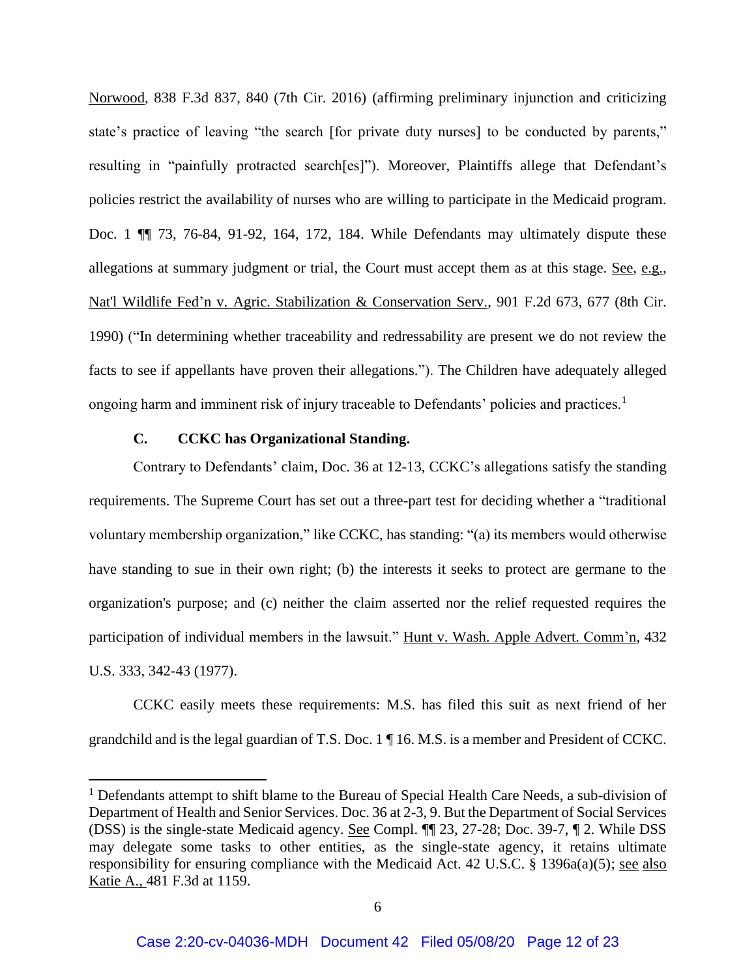Norwood*,* 838 F.3d 837, 840 (7th Cir. 2016) (affirming preliminary injunction and criticizing state's practice of leaving "the search [for private duty nurses] to be conducted by parents," resulting in "painfully protracted search[es]"). Moreover, Plaintiffs allege that Defendant's policies restrict the availability of nurses who are willing to participate in the Medicaid program. Doc. 1 ¶¶ 73, 76-84, 91-92, 164, 172, 184. While Defendants may ultimately dispute these allegations at summary judgment or trial, the Court must accept them as at this stage. See, e.g., Nat'l Wildlife Fed'n v. Agric. Stabilization & Conservation Serv., 901 F.2d 673, 677 (8th Cir. 1990) ("In determining whether traceability and redressability are present we do not review the facts to see if appellants have proven their allegations."). The Children have adequately alleged ongoing harm and imminent risk of injury traceable to Defendants' policies and practices.<sup>1</sup>

#### **C. CCKC has Organizational Standing.**

 $\overline{a}$ 

<span id="page-11-0"></span>Contrary to Defendants' claim, Doc. 36 at 12-13, CCKC's allegations satisfy the standing requirements. The Supreme Court has set out a three-part test for deciding whether a "traditional voluntary membership organization," like CCKC, has standing: "(a) its members would otherwise have standing to sue in their own right; (b) the interests it seeks to protect are germane to the organization's purpose; and (c) neither the claim asserted nor the relief requested requires the participation of individual members in the lawsuit." Hunt v. Wash. Apple Advert. Comm'n, 432 U.S. 333, 342-43 (1977).

CCKC easily meets these requirements: M.S. has filed this suit as next friend of her grandchild and is the legal guardian of T.S. Doc. 1 ¶ 16. M.S. is a member and President of CCKC.

 $<sup>1</sup>$  Defendants attempt to shift blame to the Bureau of Special Health Care Needs, a sub-division of</sup> Department of Health and Senior Services. Doc. 36 at 2-3, 9. But the Department of Social Services (DSS) is the single-state Medicaid agency. See Compl. ¶¶ 23, 27-28; Doc. 39-7, ¶ 2. While DSS may delegate some tasks to other entities, as the single-state agency, it retains ultimate responsibility for ensuring compliance with the Medicaid Act. 42 U.S.C. § 1396a(a)(5); see also Katie A., 481 F.3d at 1159.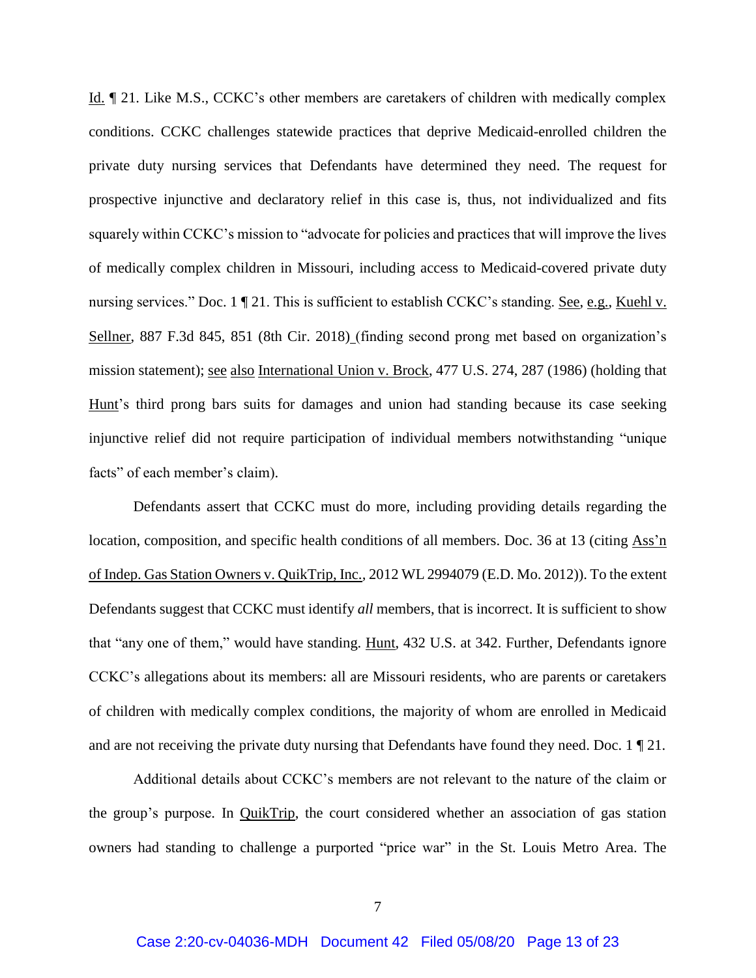Id. ¶ 21. Like M.S., CCKC's other members are caretakers of children with medically complex conditions. CCKC challenges statewide practices that deprive Medicaid-enrolled children the private duty nursing services that Defendants have determined they need. The request for prospective injunctive and declaratory relief in this case is, thus, not individualized and fits squarely within CCKC's mission to "advocate for policies and practices that will improve the lives of medically complex children in Missouri, including access to Medicaid-covered private duty nursing services." Doc. 1 ¶ 21. This is sufficient to establish CCKC's standing. See, e.g., Kuehl v. Sellner, 887 F.3d 845, 851 (8th Cir. 2018) (finding second prong met based on organization's mission statement); <u>see also International Union v. Brock</u>, 477 U.S. 274, 287 (1986) (holding that Hunt's third prong bars suits for damages and union had standing because its case seeking injunctive relief did not require participation of individual members notwithstanding "unique facts" of each member's claim).

Defendants assert that CCKC must do more, including providing details regarding the location, composition, and specific health conditions of all members. Doc. 36 at 13 (citing Ass'n of Indep. Gas Station Owners v. QuikTrip, Inc.*,* 2012 WL 2994079 (E.D. Mo. 2012)). To the extent Defendants suggest that CCKC must identify *all* members, that is incorrect. It is sufficient to show that "any one of them," would have standing. Hunt, 432 U.S. at 342. Further, Defendants ignore CCKC's allegations about its members: all are Missouri residents, who are parents or caretakers of children with medically complex conditions, the majority of whom are enrolled in Medicaid and are not receiving the private duty nursing that Defendants have found they need. Doc. 1 ¶ 21.

Additional details about CCKC's members are not relevant to the nature of the claim or the group's purpose. In QuikTrip, the court considered whether an association of gas station owners had standing to challenge a purported "price war" in the St. Louis Metro Area. The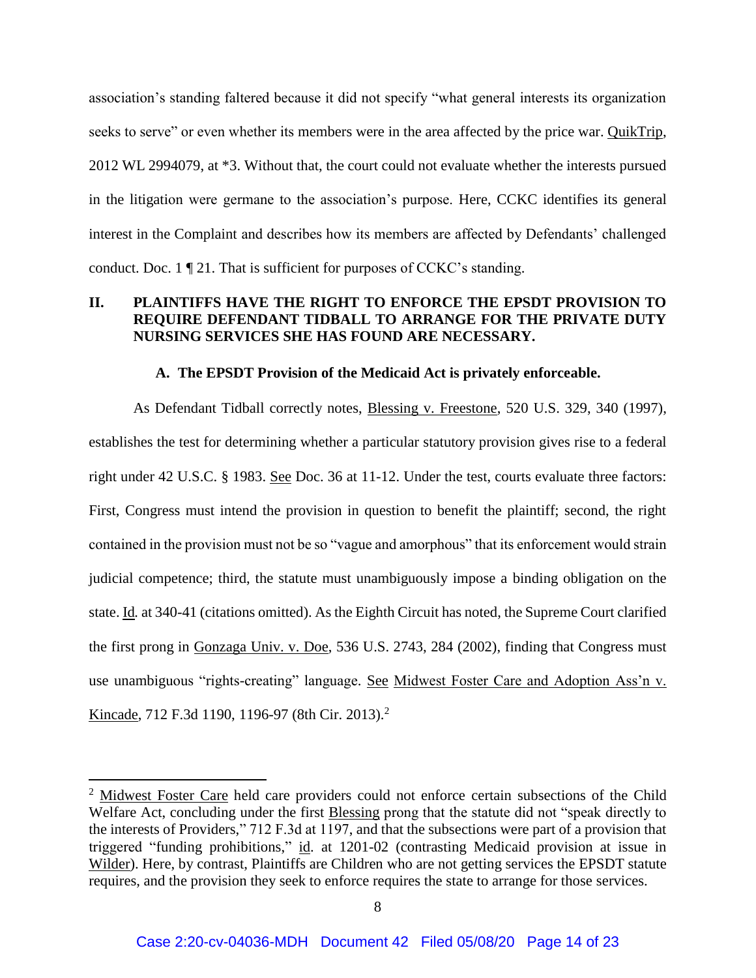association's standing faltered because it did not specify "what general interests its organization seeks to serve" or even whether its members were in the area affected by the price war. QuikTrip, 2012 WL 2994079, at \*3. Without that, the court could not evaluate whether the interests pursued in the litigation were germane to the association's purpose. Here, CCKC identifies its general interest in the Complaint and describes how its members are affected by Defendants' challenged conduct. Doc. 1 ¶ 21. That is sufficient for purposes of CCKC's standing.

### <span id="page-13-0"></span>**II. PLAINTIFFS HAVE THE RIGHT TO ENFORCE THE EPSDT PROVISION TO REQUIRE DEFENDANT TIDBALL TO ARRANGE FOR THE PRIVATE DUTY NURSING SERVICES SHE HAS FOUND ARE NECESSARY.**

#### **A. The EPSDT Provision of the Medicaid Act is privately enforceable.**

<span id="page-13-1"></span>As Defendant Tidball correctly notes, **Blessing v. Freestone**, 520 U.S. 329, 340 (1997), establishes the test for determining whether a particular statutory provision gives rise to a federal right under 42 U.S.C. § 1983. See Doc. 36 at 11-12. Under the test, courts evaluate three factors: First, Congress must intend the provision in question to benefit the plaintiff; second, the right contained in the provision must not be so "vague and amorphous" that its enforcement would strain judicial competence; third, the statute must unambiguously impose a binding obligation on the state. Id*.* at 340-41 (citations omitted). As the Eighth Circuit has noted, the Supreme Court clarified the first prong in Gonzaga Univ. v. Doe, 536 U.S. 2743, 284 (2002), finding that Congress must use unambiguous "rights-creating" language. See Midwest Foster Care and Adoption Ass'n v. Kincade, 712 F.3d 1190, 1196-97 (8th Cir. 2013).<sup>2</sup>

 $\overline{a}$ 

 $2$  Midwest Foster Care held care providers could not enforce certain subsections of the Child Welfare Act, concluding under the first Blessing prong that the statute did not "speak directly to the interests of Providers," 712 F.3d at 1197, and that the subsections were part of a provision that triggered "funding prohibitions," id. at 1201-02 (contrasting Medicaid provision at issue in Wilder). Here, by contrast, Plaintiffs are Children who are not getting services the EPSDT statute requires, and the provision they seek to enforce requires the state to arrange for those services.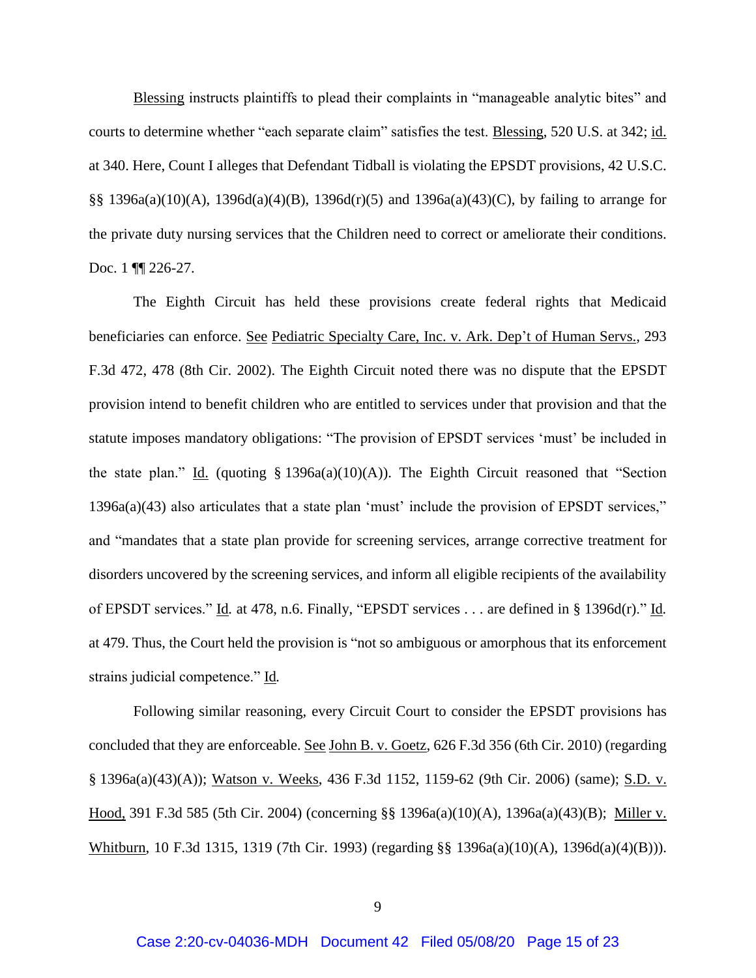Blessing instructs plaintiffs to plead their complaints in "manageable analytic bites" and courts to determine whether "each separate claim" satisfies the test. Blessing, 520 U.S. at 342; id. at 340. Here, Count I alleges that Defendant Tidball is violating the EPSDT provisions, 42 U.S.C. §§ 1396a(a)(10)(A), 1396d(a)(4)(B), 1396d(r)(5) and 1396a(a)(43)(C), by failing to arrange for the private duty nursing services that the Children need to correct or ameliorate their conditions. Doc. 1 **[1]** 226-27.

The Eighth Circuit has held these provisions create federal rights that Medicaid beneficiaries can enforce. See Pediatric Specialty Care, Inc. v. Ark. Dep't of Human Servs., 293 F.3d 472, 478 (8th Cir. 2002). The Eighth Circuit noted there was no dispute that the EPSDT provision intend to benefit children who are entitled to services under that provision and that the statute imposes mandatory obligations: "The provision of EPSDT services 'must' be included in the state plan." Id. (quoting § 1396a(a)(10)(A)). The Eighth Circuit reasoned that "Section 1396a(a)(43) also articulates that a state plan 'must' include the provision of EPSDT services," and "mandates that a state plan provide for screening services, arrange corrective treatment for disorders uncovered by the screening services, and inform all eligible recipients of the availability of EPSDT services." Id*.* at 478, n.6. Finally, "EPSDT services . . . are defined in § 1396d(r)." Id*.* at 479. Thus, the Court held the provision is "not so ambiguous or amorphous that its enforcement strains judicial competence." Id*.*

Following similar reasoning, every Circuit Court to consider the EPSDT provisions has concluded that they are enforceable. See John B. v. Goetz, 626 F.3d 356 (6th Cir. 2010) (regarding § 1396a(a)(43)(A)); Watson v. Weeks, 436 F.3d 1152, 1159-62 (9th Cir. 2006) (same); S.D. v. Hood, 391 F.3d 585 (5th Cir. 2004) (concerning §§ 1396a(a)(10)(A), 1396a(a)(43)(B); Miller v. Whitburn, 10 F.3d 1315, 1319 (7th Cir. 1993) (regarding §§ 1396a(a)(10)(A), 1396d(a)(4)(B))).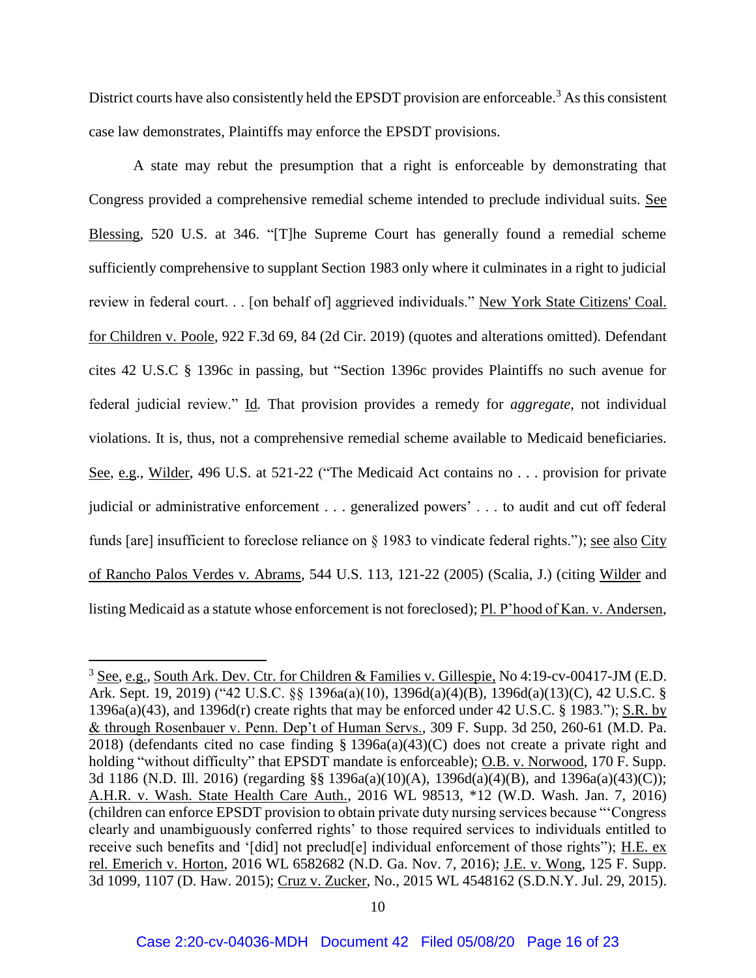District courts have also consistently held the EPSDT provision are enforceable.<sup>3</sup> As this consistent case law demonstrates, Plaintiffs may enforce the EPSDT provisions.

A state may rebut the presumption that a right is enforceable by demonstrating that Congress provided a comprehensive remedial scheme intended to preclude individual suits. See Blessing, 520 U.S. at 346. "[T]he Supreme Court has generally found a remedial scheme sufficiently comprehensive to supplant Section 1983 only where it culminates in a right to judicial review in federal court. . . [on behalf of] aggrieved individuals." New York State Citizens' Coal. for Children v. Poole, 922 F.3d 69, 84 (2d Cir. 2019) (quotes and alterations omitted). Defendant cites 42 U.S.C § 1396c in passing, but "Section 1396c provides Plaintiffs no such avenue for federal judicial review." Id*.* That provision provides a remedy for *aggregate*, not individual violations. It is, thus, not a comprehensive remedial scheme available to Medicaid beneficiaries. See, e.g., Wilder, 496 U.S. at 521-22 ("The Medicaid Act contains no . . . provision for private judicial or administrative enforcement . . . generalized powers' . . . to audit and cut off federal funds [are] insufficient to foreclose reliance on § 1983 to vindicate federal rights."); <u>see also City</u> of Rancho Palos Verdes v. Abrams, 544 U.S. 113, 121-22 (2005) (Scalia, J.) (citing Wilder and listing Medicaid as a statute whose enforcement is not foreclosed); Pl. P'hood of Kan. v. Andersen,

 $\overline{a}$ 

<sup>3</sup> See, e.g., South Ark. Dev. Ctr. for Children & Families v. Gillespie*,* No 4:19-cv-00417-JM (E.D. Ark. Sept. 19, 2019) ("42 U.S.C. §§ 1396a(a)(10), 1396d(a)(4)(B), 1396d(a)(13)(C), 42 U.S.C. § 1396a(a)(43), and 1396d(r) create rights that may be enforced under 42 U.S.C. § 1983."); S.R. by & through Rosenbauer v. Penn. Dep't of Human Servs., 309 F. Supp. 3d 250, 260-61 (M.D. Pa. 2018) (defendants cited no case finding  $\S$  1396a(a)(43)(C) does not create a private right and holding "without difficulty" that EPSDT mandate is enforceable); O.B. v. Norwood, 170 F. Supp. 3d 1186 (N.D. Ill. 2016) (regarding §§ 1396a(a)(10)(A), 1396d(a)(4)(B), and 1396a(a)(43)(C)); A.H.R. v. Wash. State Health Care Auth., 2016 WL 98513, \*12 (W.D. Wash. Jan. 7, 2016) (children can enforce EPSDT provision to obtain private duty nursing services because "'Congress clearly and unambiguously conferred rights' to those required services to individuals entitled to receive such benefits and '[did] not preclud[e] individual enforcement of those rights"); H.E. ex rel. Emerich v. Horton, 2016 WL 6582682 (N.D. Ga. Nov. 7, 2016); J.E. v. Wong, 125 F. Supp. 3d 1099, 1107 (D. Haw. 2015); Cruz v. Zucker, No., 2015 WL 4548162 (S.D.N.Y. Jul. 29, 2015).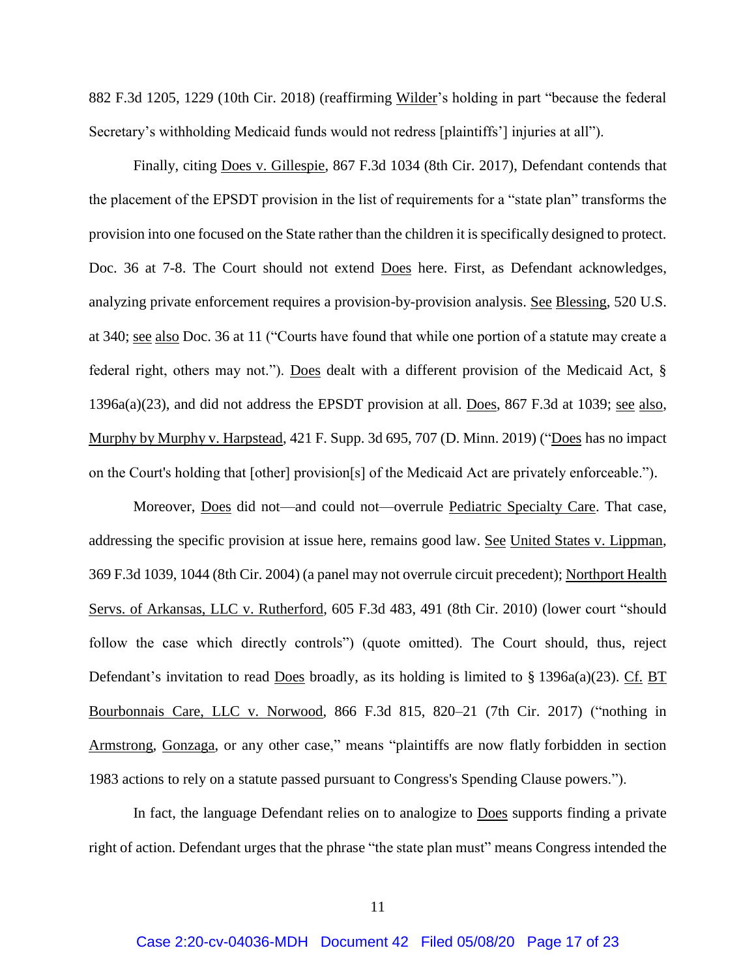882 F.3d 1205, 1229 (10th Cir. 2018) (reaffirming Wilder's holding in part "because the federal Secretary's withholding Medicaid funds would not redress [plaintiffs'] injuries at all").

Finally, citing Does v. Gillespie, 867 F.3d 1034 (8th Cir. 2017), Defendant contends that the placement of the EPSDT provision in the list of requirements for a "state plan" transforms the provision into one focused on the State rather than the children it is specifically designed to protect. Doc. 36 at 7-8. The Court should not extend Does here. First, as Defendant acknowledges, analyzing private enforcement requires a provision-by-provision analysis. See Blessing, 520 U.S. at 340; see also Doc. 36 at 11 ("Courts have found that while one portion of a statute may create a federal right, others may not."). Does dealt with a different provision of the Medicaid Act, § 1396a(a)(23), and did not address the EPSDT provision at all. Does, 867 F.3d at 1039; see also, Murphy by Murphy v. Harpstead, 421 F. Supp. 3d 695, 707 (D. Minn. 2019) (["Does](https://1.next.westlaw.com/Link/Document/FullText?findType=Y&serNum=2042366132&pubNum=0000506&originatingDoc=I6de35560e39811e99758f497fe5ac24e&refType=RP&originationContext=document&transitionType=DocumentItem&contextData=(sc.Keycite)) has no impact on the Court's holding that [other] provision[s] of the Medicaid Act are privately enforceable.").

Moreover, Does did not—and could not—overrule Pediatric Specialty Care. That case, addressing the specific provision at issue here, remains good law. See United States v. Lippman, 369 F.3d 1039, 1044 (8th Cir. 2004) (a panel may not overrule circuit precedent); Northport Health Servs. of Arkansas, LLC v. Rutherford, 605 F.3d 483, 491 (8th Cir. 2010) (lower court "should follow the case which directly controls") (quote omitted). The Court should, thus, reject Defendant's invitation to read Does broadly, as its holding is limited to § 1396a(a)(23). Cf. BT Bourbonnais Care, LLC v. Norwood, 866 F.3d 815, 820–21 (7th Cir. 2017) ("nothing in Armstrong*,* Gonzaga, or any other case," means "plaintiffs are now flatly forbidden in section 1983 actions to rely on a statute passed pursuant to Congress's Spending Clause powers.").

In fact, the language Defendant relies on to analogize to Does supports finding a private right of action. Defendant urges that the phrase "the state plan must" means Congress intended the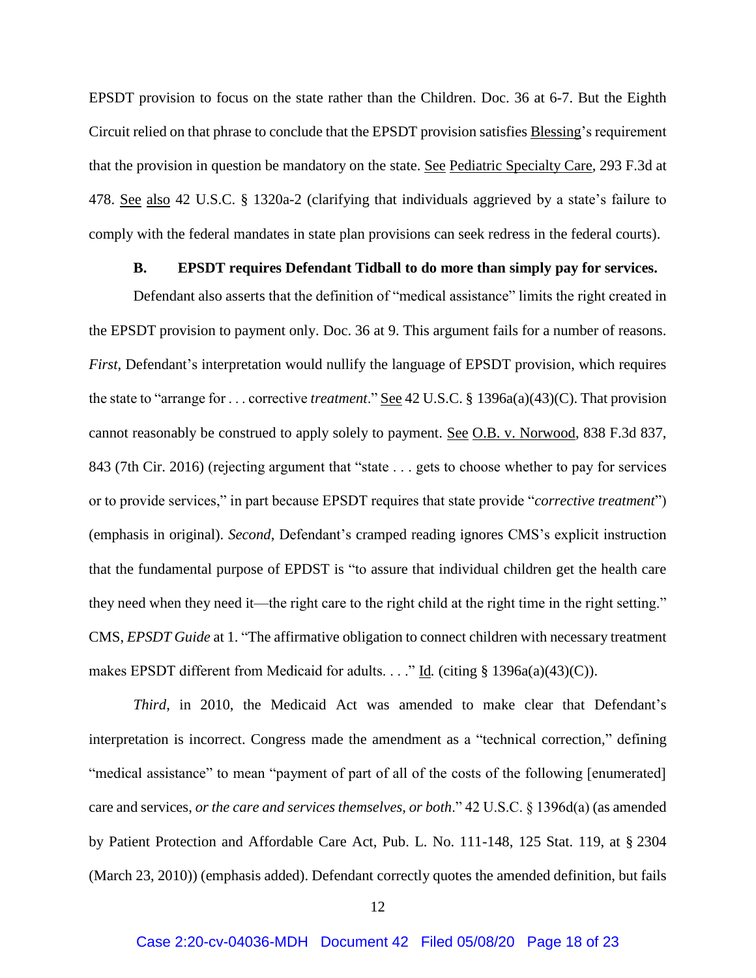EPSDT provision to focus on the state rather than the Children. Doc. 36 at 6-7. But the Eighth Circuit relied on that phrase to conclude that the EPSDT provision satisfies Blessing's requirement that the provision in question be mandatory on the state. See Pediatric Specialty Care, 293 F.3d at 478. See also 42 U.S.C. § 1320a-2 (clarifying that individuals aggrieved by a state's failure to comply with the federal mandates in state plan provisions can seek redress in the federal courts).

#### **B. EPSDT requires Defendant Tidball to do more than simply pay for services.**

<span id="page-17-0"></span>Defendant also asserts that the definition of "medical assistance" limits the right created in the EPSDT provision to payment only. Doc. 36 at 9. This argument fails for a number of reasons. *First*, Defendant's interpretation would nullify the language of EPSDT provision, which requires the state to "arrange for . . . corrective *treatment*." See 42 U.S.C. § 1396a(a)(43)(C). That provision cannot reasonably be construed to apply solely to payment. See O.B. v. Norwood, 838 F.3d 837, 843 (7th Cir. 2016) (rejecting argument that "state . . . gets to choose whether to pay for services or to provide services," in part because EPSDT requires that state provide "*corrective treatment*") (emphasis in original). *Second*, Defendant's cramped reading ignores CMS's explicit instruction that the fundamental purpose of EPDST is "to assure that individual children get the health care they need when they need it—the right care to the right child at the right time in the right setting." CMS, *EPSDT Guide* at 1. "The affirmative obligation to connect children with necessary treatment makes EPSDT different from Medicaid for adults. . . ." Id. (citing § 1396a(a)(43)(C)).

*Third*, in 2010, the Medicaid Act was amended to make clear that Defendant's interpretation is incorrect. Congress made the amendment as a "technical correction," defining "medical assistance" to mean "payment of part of all of the costs of the following [enumerated] care and services, *or the care and services themselves, or both*." 42 U.S.C. § 1396d(a) (as amended by Patient Protection and Affordable Care Act, Pub. L. No. 111-148, 125 Stat. 119, at § 2304 (March 23, 2010)) (emphasis added). Defendant correctly quotes the amended definition, but fails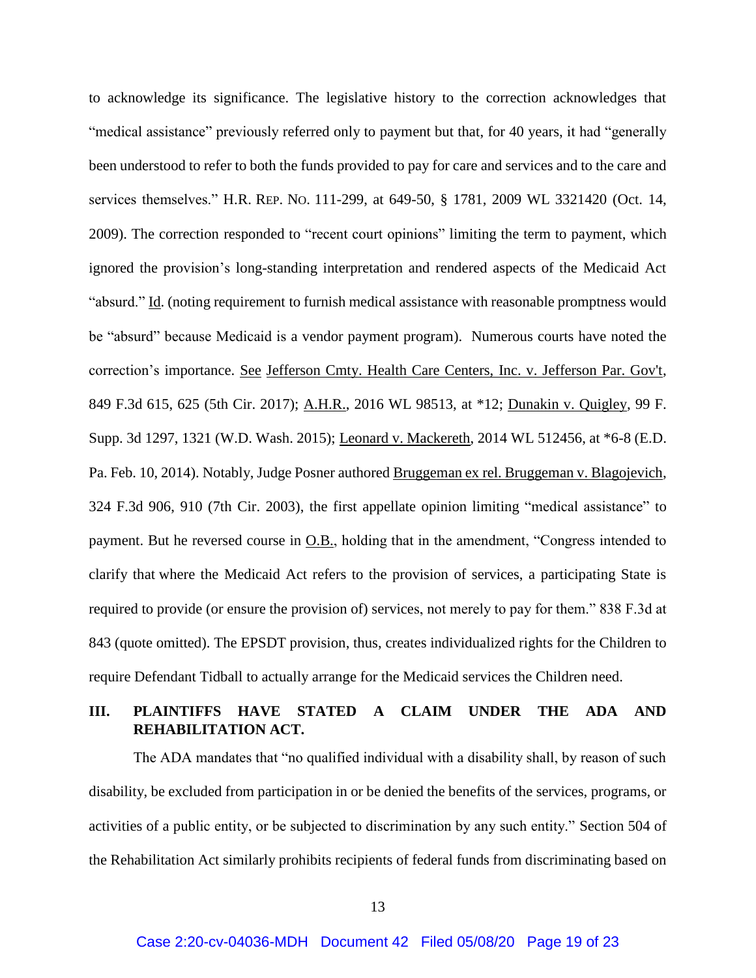to acknowledge its significance. The legislative history to the correction acknowledges that "medical assistance" previously referred only to payment but that, for 40 years, it had "generally been understood to refer to both the funds provided to pay for care and services and to the care and services themselves." H.R. REP. NO. 111-299, at 649-50, § 1781, 2009 WL 3321420 (Oct. 14, 2009). The correction responded to "recent court opinions" limiting the term to payment, which ignored the provision's long-standing interpretation and rendered aspects of the Medicaid Act "absurd." Id. (noting requirement to furnish medical assistance with reasonable promptness would be "absurd" because Medicaid is a vendor payment program). Numerous courts have noted the correction's importance. See Jefferson Cmty. Health Care Centers, Inc. v. Jefferson Par. Gov't, 849 F.3d 615, 625 (5th Cir. 2017); A.H.R., 2016 WL 98513, at \*12; Dunakin v. Quigley, 99 F. Supp. 3d 1297, 1321 (W.D. Wash. 2015); Leonard v. Mackereth, 2014 WL 512456, at \*6-8 (E.D. Pa. Feb. 10, 2014). Notably, Judge Posner authored Bruggeman ex rel. Bruggeman v. Blagojevich, 324 F.3d 906, 910 (7th Cir. 2003), the first appellate opinion limiting "medical assistance" to payment. But he reversed course in  $O.B.,$  holding that in the amendment, "Congress intended to clarify that where the Medicaid Act refers to the provision of services, a participating State is required to provide (or ensure the provision of) services, not merely to pay for them." 838 F.3d at 843 (quote omitted). The EPSDT provision, thus, creates individualized rights for the Children to require Defendant Tidball to actually arrange for the Medicaid services the Children need.

## <span id="page-18-0"></span>**III. PLAINTIFFS HAVE STATED A CLAIM UNDER THE ADA AND REHABILITATION ACT.**

The ADA mandates that "no qualified individual with a disability shall, by reason of such disability, be excluded from participation in or be denied the benefits of the services, programs, or activities of a public entity, or be subjected to discrimination by any such entity." Section 504 of the Rehabilitation Act similarly prohibits recipients of federal funds from discriminating based on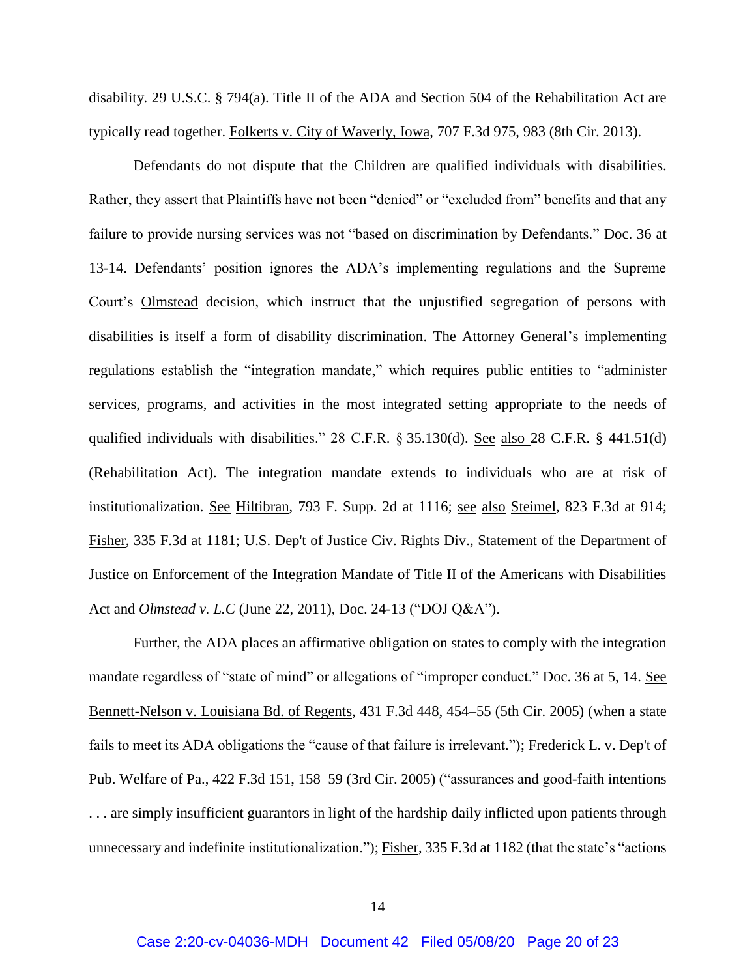disability. 29 U.S.C. § 794(a). Title II of the ADA and Section 504 of the Rehabilitation Act are typically read together. Folkerts v. City of Waverly, Iowa, 707 F.3d 975, 983 (8th Cir. 2013).

Defendants do not dispute that the Children are qualified individuals with disabilities. Rather, they assert that Plaintiffs have not been "denied" or "excluded from" benefits and that any failure to provide nursing services was not "based on discrimination by Defendants." Doc. 36 at 13-14. Defendants' position ignores the ADA's implementing regulations and the Supreme Court's Olmstead decision, which instruct that the unjustified segregation of persons with disabilities is itself a form of disability discrimination. The Attorney General's implementing regulations establish the "integration mandate," which requires public entities to "administer services, programs, and activities in the most integrated setting appropriate to the needs of qualified individuals with disabilities." 28 C.F.R. § 35.130(d). <u>See also 28</u> C.F.R. § 441.51(d) (Rehabilitation Act). The integration mandate extends to individuals who are at risk of institutionalization. See Hiltibran, 793 F. Supp. 2d at 1116; see also Steimel, 823 F.3d at 914; Fisher, 335 F.3d at 1181; U.S. Dep't of Justice Civ. Rights Div., Statement of the Department of Justice on Enforcement of the Integration Mandate of Title II of the Americans with Disabilities Act and *Olmstead v. L.C* (June 22, 2011), Doc. 24-13 ("DOJ Q&A").

Further, the ADA places an affirmative obligation on states to comply with the integration mandate regardless of "state of mind" or allegations of "improper conduct." Doc. 36 at 5, 14. See Bennett-Nelson v. Louisiana Bd. of Regents, 431 F.3d 448, 454–55 (5th Cir. 2005) (when a state fails to meet its ADA obligations the "cause of that failure is irrelevant."); Frederick L. v. Dep't of Pub. Welfare of Pa., 422 F.3d 151, 158–59 (3rd Cir. 2005) ("assurances and good-faith intentions . . . are simply insufficient guarantors in light of the hardship daily inflicted upon patients through unnecessary and indefinite institutionalization."); Fisher, 335 F.3d at 1182 (that the state's "actions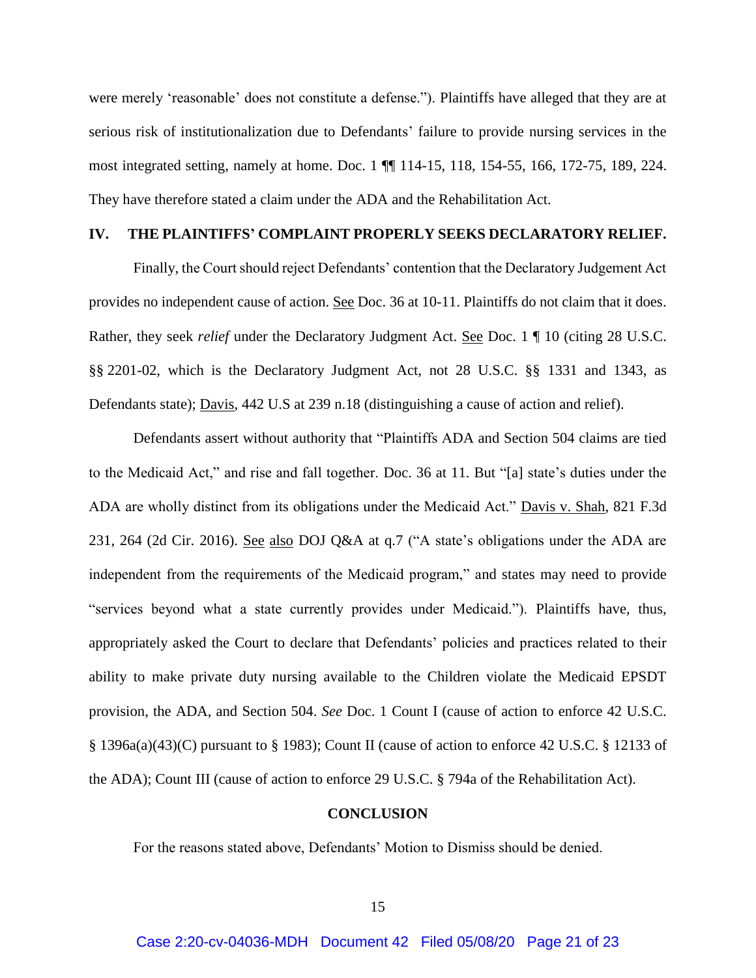were merely 'reasonable' does not constitute a defense."). Plaintiffs have alleged that they are at serious risk of institutionalization due to Defendants' failure to provide nursing services in the most integrated setting, namely at home. Doc. 1 ¶¶ 114-15, 118, 154-55, 166, 172-75, 189, 224. They have therefore stated a claim under the ADA and the Rehabilitation Act.

### <span id="page-20-0"></span>**IV. THE PLAINTIFFS' COMPLAINT PROPERLY SEEKS DECLARATORY RELIEF.**

Finally, the Court should reject Defendants' contention that the Declaratory Judgement Act provides no independent cause of action. See Doc. 36 at 10-11. Plaintiffs do not claim that it does. Rather, they seek *relief* under the Declaratory Judgment Act. See Doc. 1 ¶ 10 (citing 28 U.S.C. §§ 2201-02, which is the Declaratory Judgment Act, not 28 U.S.C. §§ 1331 and 1343, as Defendants state); Davis, 442 U.S at 239 n.18 (distinguishing a cause of action and relief).

Defendants assert without authority that "Plaintiffs ADA and Section 504 claims are tied to the Medicaid Act," and rise and fall together. Doc. 36 at 11. But "[a] state's duties under the ADA are wholly distinct from its obligations under the Medicaid Act." Davis v. Shah*,* 821 F.3d 231, 264 (2d Cir. 2016). See also DOJ Q&A at q.7 ("A state's obligations under the ADA are independent from the requirements of the Medicaid program," and states may need to provide "services beyond what a state currently provides under Medicaid."). Plaintiffs have, thus, appropriately asked the Court to declare that Defendants' policies and practices related to their ability to make private duty nursing available to the Children violate the Medicaid EPSDT provision, the ADA, and Section 504. *See* Doc. 1 Count I (cause of action to enforce 42 U.S.C. § 1396a(a)(43)(C) pursuant to § 1983); Count II (cause of action to enforce 42 U.S.C. § 12133 of the ADA); Count III (cause of action to enforce 29 U.S.C. § 794a of the Rehabilitation Act).

#### **CONCLUSION**

<span id="page-20-1"></span>For the reasons stated above, Defendants' Motion to Dismiss should be denied.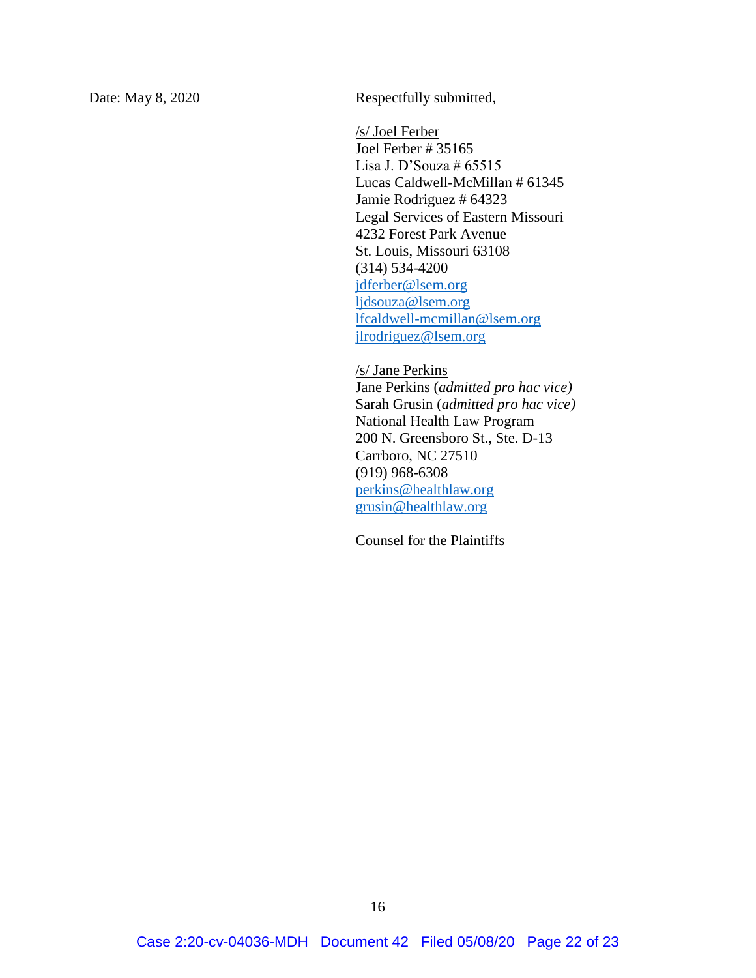Date: May 8, 2020 Respectfully submitted,

/s/ Joel Ferber Joel Ferber # 35165 Lisa J. D'Souza #  $65515$ Lucas Caldwell-McMillan # 61345 Jamie Rodriguez # 64323 Legal Services of Eastern Missouri 4232 Forest Park Avenue St. Louis, Missouri 63108 (314) 534-4200 [jdferber@lsem.org](mailto:jdferber@lsem.org) [ljdsouza@lsem.org](mailto:ljdsouza@lsem.org) [lfcaldwell-mcmillan@lsem.org](mailto:lfcaldwell-mcmillan@lsem.org) [jlrodriguez@lsem.org](mailto:jlrodriguez@lsem.org)

/s/ Jane Perkins Jane Perkins (*admitted pro hac vice)* Sarah Grusin (*admitted pro hac vice)* National Health Law Program 200 N. Greensboro St., Ste. D-13 Carrboro, NC 27510 (919) 968-6308 [perkins@healthlaw.org](mailto:perkins@healthlaw.org) [grusin@healthlaw.org](mailto:grusin@healthlaw.org)

Counsel for the Plaintiffs